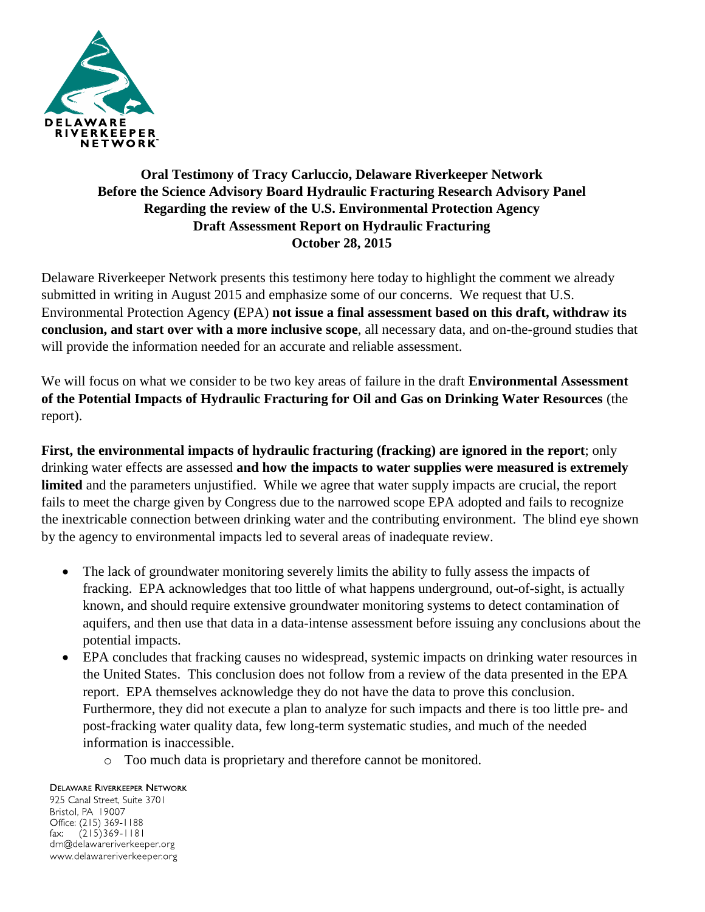

## **Oral Testimony of Tracy Carluccio, Delaware Riverkeeper Network Before the Science Advisory Board Hydraulic Fracturing Research Advisory Panel Regarding the review of the U.S. Environmental Protection Agency Draft Assessment Report on Hydraulic Fracturing October 28, 2015**

Delaware Riverkeeper Network presents this testimony here today to highlight the comment we already submitted in writing in August 2015 and emphasize some of our concerns. We request that U.S. Environmental Protection Agency **(**EPA) **not issue a final assessment based on this draft, withdraw its conclusion, and start over with a more inclusive scope**, all necessary data, and on-the-ground studies that will provide the information needed for an accurate and reliable assessment.

We will focus on what we consider to be two key areas of failure in the draft **Environmental Assessment of the Potential Impacts of Hydraulic Fracturing for Oil and Gas on Drinking Water Resources** (the report).

**First, the environmental impacts of hydraulic fracturing (fracking) are ignored in the report**; only drinking water effects are assessed **and how the impacts to water supplies were measured is extremely limited** and the parameters unjustified. While we agree that water supply impacts are crucial, the report fails to meet the charge given by Congress due to the narrowed scope EPA adopted and fails to recognize the inextricable connection between drinking water and the contributing environment. The blind eye shown by the agency to environmental impacts led to several areas of inadequate review.

- The lack of groundwater monitoring severely limits the ability to fully assess the impacts of fracking. EPA acknowledges that too little of what happens underground, out-of-sight, is actually known, and should require extensive groundwater monitoring systems to detect contamination of aquifers, and then use that data in a data-intense assessment before issuing any conclusions about the potential impacts.
- EPA concludes that fracking causes no widespread, systemic impacts on drinking water resources in the United States. This conclusion does not follow from a review of the data presented in the EPA report. EPA themselves acknowledge they do not have the data to prove this conclusion. Furthermore, they did not execute a plan to analyze for such impacts and there is too little pre- and post-fracking water quality data, few long-term systematic studies, and much of the needed information is inaccessible.
	- o Too much data is proprietary and therefore cannot be monitored.

## **DELAWARE RIVERKEEPER NETWORK**

925 Canal Street, Suite 3701 Bristol, PA 19007 Office: (215) 369-1188  $(215)369 - 1181$  $\mathsf{fax:}$ drn@delawareriverkeeper.org www.delawareriverkeeper.org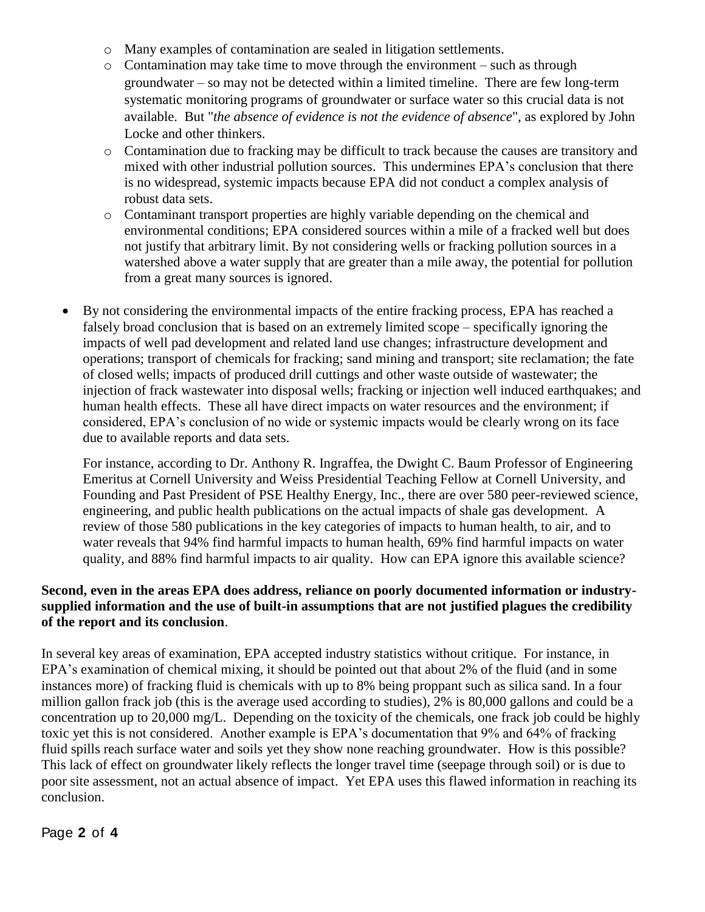- o Many examples of contamination are sealed in litigation settlements.
- o Contamination may take time to move through the environment such as through groundwater – so may not be detected within a limited timeline. There are few long-term systematic monitoring programs of groundwater or surface water so this crucial data is not available. But "*the absence of evidence is not the evidence of absence*", as explored by John Locke and other thinkers.
- o Contamination due to fracking may be difficult to track because the causes are transitory and mixed with other industrial pollution sources. This undermines EPA's conclusion that there is no widespread, systemic impacts because EPA did not conduct a complex analysis of robust data sets.
- o Contaminant transport properties are highly variable depending on the chemical and environmental conditions; EPA considered sources within a mile of a fracked well but does not justify that arbitrary limit. By not considering wells or fracking pollution sources in a watershed above a water supply that are greater than a mile away, the potential for pollution from a great many sources is ignored.
- By not considering the environmental impacts of the entire fracking process, EPA has reached a falsely broad conclusion that is based on an extremely limited scope – specifically ignoring the impacts of well pad development and related land use changes; infrastructure development and operations; transport of chemicals for fracking; sand mining and transport; site reclamation; the fate of closed wells; impacts of produced drill cuttings and other waste outside of wastewater; the injection of frack wastewater into disposal wells; fracking or injection well induced earthquakes; and human health effects. These all have direct impacts on water resources and the environment; if considered, EPA's conclusion of no wide or systemic impacts would be clearly wrong on its face due to available reports and data sets.

For instance, according to Dr. Anthony R. Ingraffea, the Dwight C. Baum Professor of Engineering Emeritus at Cornell University and Weiss Presidential Teaching Fellow at Cornell University, and Founding and Past President of PSE Healthy Energy, Inc., there are over 580 peer-reviewed science, engineering, and public health publications on the actual impacts of shale gas development. A review of those 580 publications in the key categories of impacts to human health, to air, and to water reveals that 94% find harmful impacts to human health, 69% find harmful impacts on water quality, and 88% find harmful impacts to air quality. How can EPA ignore this available science?

## **Second, even in the areas EPA does address, reliance on poorly documented information or industrysupplied information and the use of built-in assumptions that are not justified plagues the credibility of the report and its conclusion**.

In several key areas of examination, EPA accepted industry statistics without critique. For instance, in EPA's examination of chemical mixing, it should be pointed out that about 2% of the fluid (and in some instances more) of fracking fluid is chemicals with up to 8% being proppant such as silica sand. In a four million gallon frack job (this is the average used according to studies), 2% is 80,000 gallons and could be a concentration up to 20,000 mg/L. Depending on the toxicity of the chemicals, one frack job could be highly toxic yet this is not considered. Another example is EPA's documentation that 9% and 64% of fracking fluid spills reach surface water and soils yet they show none reaching groundwater. How is this possible? This lack of effect on groundwater likely reflects the longer travel time (seepage through soil) or is due to poor site assessment, not an actual absence of impact. Yet EPA uses this flawed information in reaching its conclusion.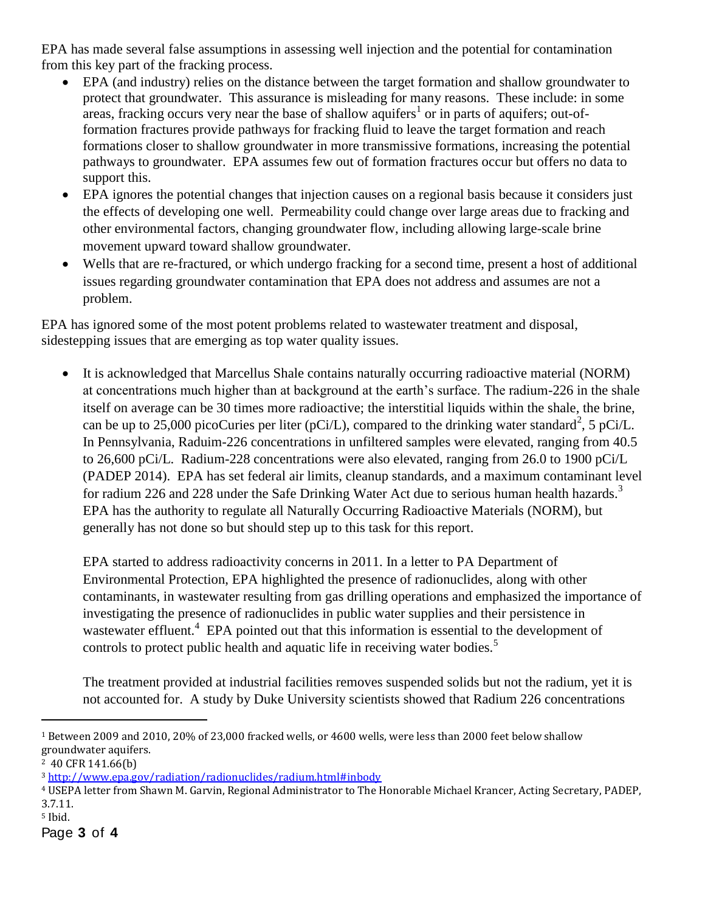EPA has made several false assumptions in assessing well injection and the potential for contamination from this key part of the fracking process.

- EPA (and industry) relies on the distance between the target formation and shallow groundwater to protect that groundwater. This assurance is misleading for many reasons. These include: in some areas, fracking occurs very near the base of shallow aquifers<sup>1</sup> or in parts of aquifers; out-offormation fractures provide pathways for fracking fluid to leave the target formation and reach formations closer to shallow groundwater in more transmissive formations, increasing the potential pathways to groundwater. EPA assumes few out of formation fractures occur but offers no data to support this.
- EPA ignores the potential changes that injection causes on a regional basis because it considers just the effects of developing one well. Permeability could change over large areas due to fracking and other environmental factors, changing groundwater flow, including allowing large-scale brine movement upward toward shallow groundwater.
- Wells that are re-fractured, or which undergo fracking for a second time, present a host of additional issues regarding groundwater contamination that EPA does not address and assumes are not a problem.

EPA has ignored some of the most potent problems related to wastewater treatment and disposal, sidestepping issues that are emerging as top water quality issues.

 It is acknowledged that Marcellus Shale contains naturally occurring radioactive material (NORM) at concentrations much higher than at background at the earth's surface. The radium-226 in the shale itself on average can be 30 times more radioactive; the interstitial liquids within the shale, the brine, can be up to 25,000 picoCuries per liter (pCi/L), compared to the drinking water standard<sup>2</sup>, 5 pCi/L. In Pennsylvania, Raduim-226 concentrations in unfiltered samples were elevated, ranging from 40.5 to 26,600 pCi/L. Radium-228 concentrations were also elevated, ranging from 26.0 to 1900 pCi/L (PADEP 2014). EPA has set federal air limits, cleanup standards, and a maximum contaminant level for radium 226 and 228 under the Safe Drinking Water Act due to serious human health hazards.<sup>3</sup> EPA has the authority to regulate all Naturally Occurring Radioactive Materials (NORM), but generally has not done so but should step up to this task for this report.

EPA started to address radioactivity concerns in 2011. In a letter to PA Department of Environmental Protection, EPA highlighted the presence of radionuclides, along with other contaminants, in wastewater resulting from gas drilling operations and emphasized the importance of investigating the presence of radionuclides in public water supplies and their persistence in wastewater effluent.<sup>4</sup> EPA pointed out that this information is essential to the development of controls to protect public health and aquatic life in receiving water bodies.<sup>5</sup>

The treatment provided at industrial facilities removes suspended solids but not the radium, yet it is not accounted for. A study by Duke University scientists showed that Radium 226 concentrations

 $\overline{a}$ 

<sup>1</sup> Between 2009 and 2010, 20% of 23,000 fracked wells, or 4600 wells, were less than 2000 feet below shallow groundwater aquifers.

<sup>2</sup> 40 CFR 141.66(b)

<sup>3</sup> <http://www.epa.gov/radiation/radionuclides/radium.html#inbody>

<sup>4</sup> USEPA letter from Shawn M. Garvin, Regional Administrator to The Honorable Michael Krancer, Acting Secretary, PADEP, 3.7.11.

<sup>5</sup> Ibid.